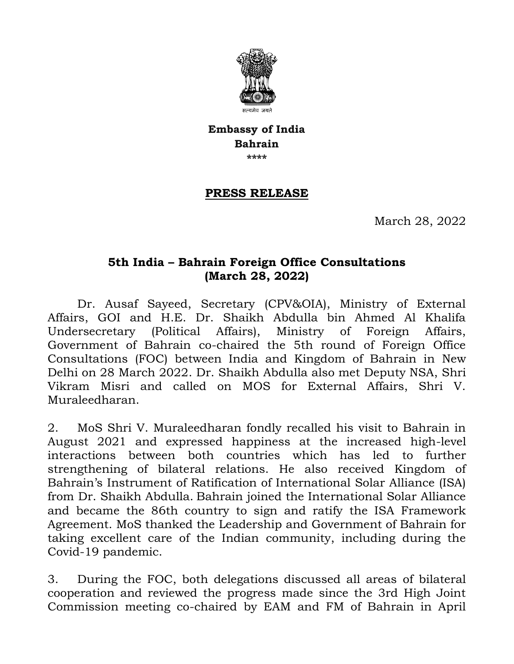

## **Embassy of India Bahrain \*\*\*\***

## **PRESS RELEASE**

March 28, 2022

## **5th India – Bahrain Foreign Office Consultations (March 28, 2022)**

Dr. Ausaf Sayeed, Secretary (CPV&OIA), Ministry of External Affairs, GOI and H.E. Dr. Shaikh Abdulla bin Ahmed Al Khalifa Undersecretary (Political Affairs), Ministry of Foreign Affairs, Government of Bahrain co-chaired the 5th round of Foreign Office Consultations (FOC) between India and Kingdom of Bahrain in New Delhi on 28 March 2022. Dr. Shaikh Abdulla also met Deputy NSA, Shri Vikram Misri and called on MOS for External Affairs, Shri V. Muraleedharan.

2. MoS Shri V. Muraleedharan fondly recalled his visit to Bahrain in August 2021 and expressed happiness at the increased high-level interactions between both countries which has led to further strengthening of bilateral relations. He also received Kingdom of Bahrain's Instrument of Ratification of International Solar Alliance (ISA) from Dr. Shaikh Abdulla. Bahrain joined the International Solar Alliance and became the 86th country to sign and ratify the ISA Framework Agreement. MoS thanked the Leadership and Government of Bahrain for taking excellent care of the Indian community, including during the Covid-19 pandemic.

3. During the FOC, both delegations discussed all areas of bilateral cooperation and reviewed the progress made since the 3rd High Joint Commission meeting co-chaired by EAM and FM of Bahrain in April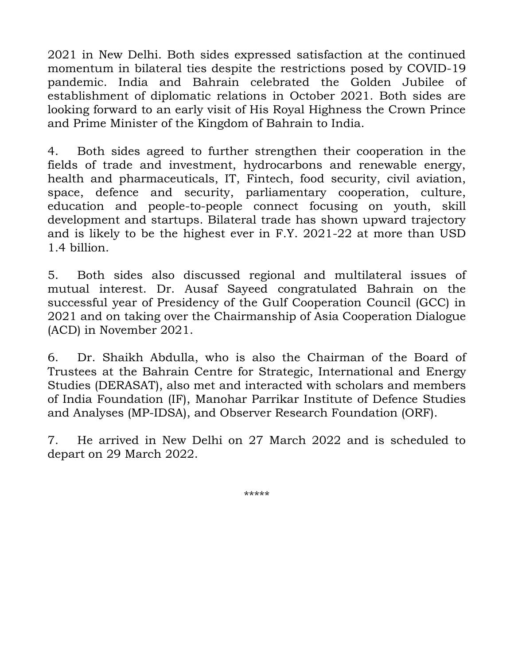2021 in New Delhi. Both sides expressed satisfaction at the continued momentum in bilateral ties despite the restrictions posed by COVID-19 pandemic. India and Bahrain celebrated the Golden Jubilee of establishment of diplomatic relations in October 2021. Both sides are looking forward to an early visit of His Royal Highness the Crown Prince and Prime Minister of the Kingdom of Bahrain to India.

4. Both sides agreed to further strengthen their cooperation in the fields of trade and investment, hydrocarbons and renewable energy, health and pharmaceuticals, IT, Fintech, food security, civil aviation, space, defence and security, parliamentary cooperation, culture, education and people-to-people connect focusing on youth, skill development and startups. Bilateral trade has shown upward trajectory and is likely to be the highest ever in F.Y. 2021-22 at more than USD 1.4 billion.

5. Both sides also discussed regional and multilateral issues of mutual interest. Dr. Ausaf Sayeed congratulated Bahrain on the successful year of Presidency of the Gulf Cooperation Council (GCC) in 2021 and on taking over the Chairmanship of Asia Cooperation Dialogue (ACD) in November 2021.

6. Dr. Shaikh Abdulla, who is also the Chairman of the Board of Trustees at the Bahrain Centre for Strategic, International and Energy Studies (DERASAT), also met and interacted with scholars and members of India Foundation (IF), Manohar Parrikar Institute of Defence Studies and Analyses (MP-IDSA), and Observer Research Foundation (ORF).

7. He arrived in New Delhi on 27 March 2022 and is scheduled to depart on 29 March 2022.

\*\*\*\*\*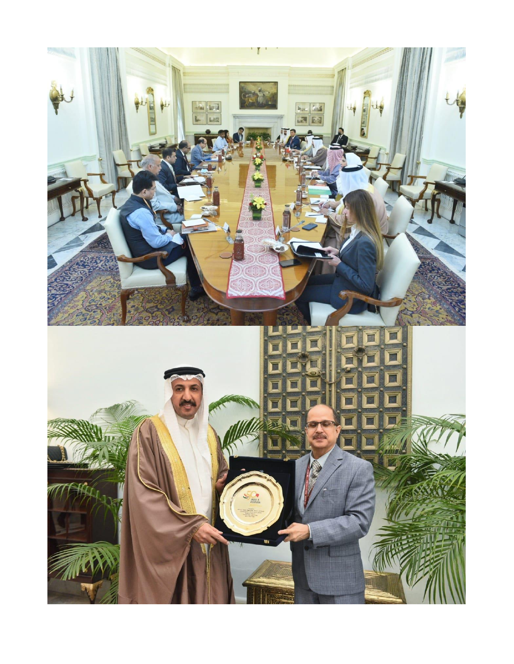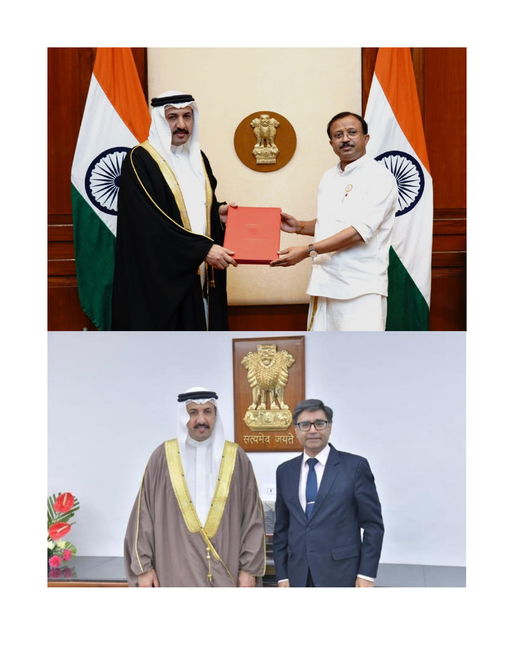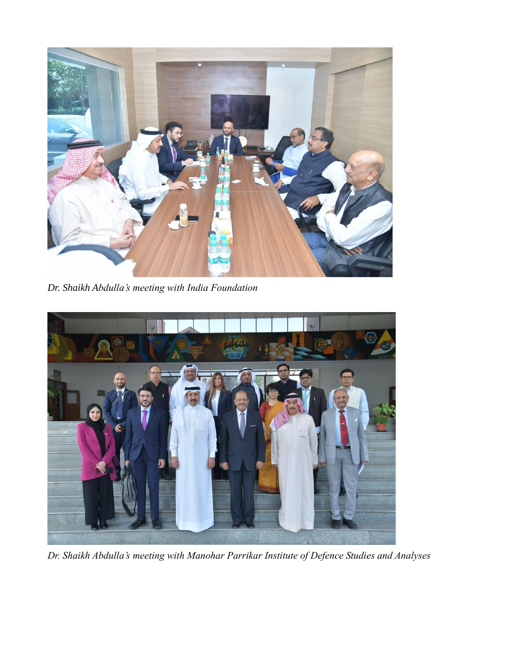

*Dr. Shaikh Abdulla's meeting with India Foundation*



*Dr. Shaikh Abdulla's meeting with Manohar Parrikar Institute of Defence Studies and Analyses*